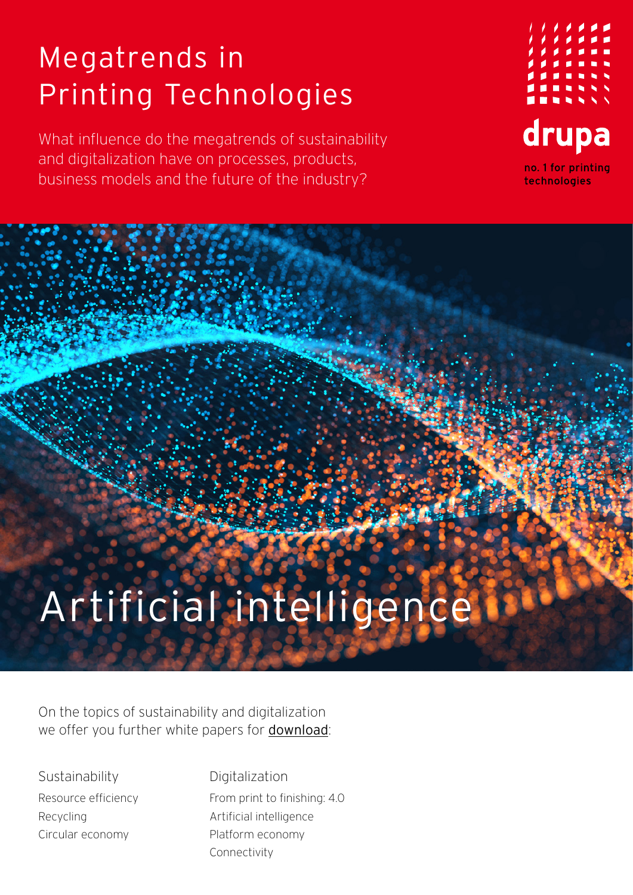## Megatrends in Printing Technologies

What influence do the megatrends of sustainability and digitalization have on processes, products, business models and the future of the industry?



## Artificial intelligenc

On the topics of sustainability and digitalization we offer you further white papers for [download](https://www.drupa.com/drupa_maintopics_EN):

**Sustainability** Resource efficiency Recycling Circular economy

Digitalization From print to finishing: 4.0 Artificial intelligence Platform economy Connectivity